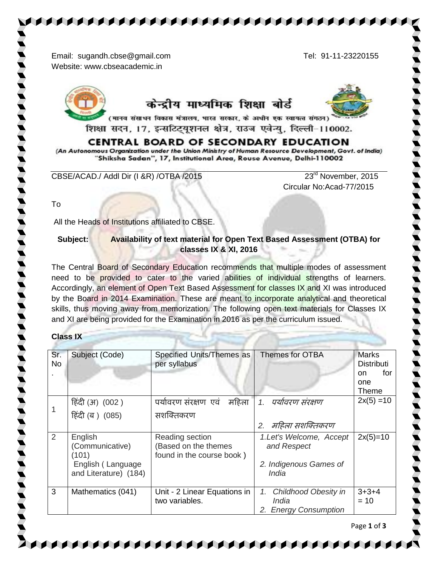Email: [sugandh.cbse@gmail.c](mailto:sugandh.cbse@live)om Tel: 91-11-23220155 Website: www.cbseacademic.in



# केन्द्रीय माध्यमिक शिक्षा बोर्ड



(मानव संसाधन विकास मंत्रालय, भारत सरकार, के अधीन एक स्वायत्त संगठन) शिक्षा सदन, 17, इन्सटिट्यूशनल क्षेत्र, राउज एवेन्यु, दिल्ली-110002.

## **CENTRAL BOARD OF SECONDARY EDUCATION**

(An Autonomous Organization under the Union Ministry of Human Resource Development, Govt. of India) "Shiksha Sadan", 17, Institutional Area, Rouse Avenue, Delhi-110002

CBSE/ACAD./ Addl Dir (I &R) /OTBA /2015 23<sup>rd</sup> November, 2015

Circular No:Acad-77/2015

To

All the Heads of Institutions affiliated to CBSE.

### **Subject: Availability of text material for Open Text Based Assessment (OTBA) for classes IX & XI, 2016**

The Central Board of Secondary Education recommends that multiple modes of assessment need to be provided to cater to the varied abilities of individual strengths of learners. Accordingly, an element of Open Text Based Assessment for classes IX and XI was introduced by the Board in 2014 Examination. These are meant to incorporate analytical and theoretical skills, thus moving away from memorization. The following open text materials for Classes IX and XI are being provided for the Examination in 2016 as per the curriculum issued.

#### **Class IX**

| Sr.<br><b>No</b> | Subject (Code)                             | Specified Units/Themes as<br>per syllabus                            | Themes for OTBA                                                               | <b>Marks</b><br><b>Distributi</b><br>for<br>on.<br>one<br>Theme |
|------------------|--------------------------------------------|----------------------------------------------------------------------|-------------------------------------------------------------------------------|-----------------------------------------------------------------|
|                  | हिंदी (अ) (002 )                           | पर्यावरण संरक्षण एवं<br>महिला                                        | पर्यावरण संरक्षण<br>1.                                                        | $2x(5) = 10$                                                    |
|                  | हिंदी (ब) (085)                            | सशक्तिकरण                                                            |                                                                               |                                                                 |
|                  |                                            |                                                                      | महिला सशक्तिकरण<br>2.                                                         |                                                                 |
| 2                | English<br>(Communicative)<br>(101)        | Reading section<br>(Based on the themes<br>found in the course book) | 1.Let's Welcome, Accept<br>and Respect                                        | $2x(5)=10$                                                      |
|                  | English (Language<br>and Literature) (184) |                                                                      | 2. Indigenous Games of<br>India                                               |                                                                 |
| 3                | Mathematics (041)                          | Unit - 2 Linear Equations in<br>two variables.                       | <b>Childhood Obesity in</b><br>1.<br>India<br><b>Energy Consumption</b><br>2. | $3+3+4$<br>$= 10$                                               |



Page **1** of **3**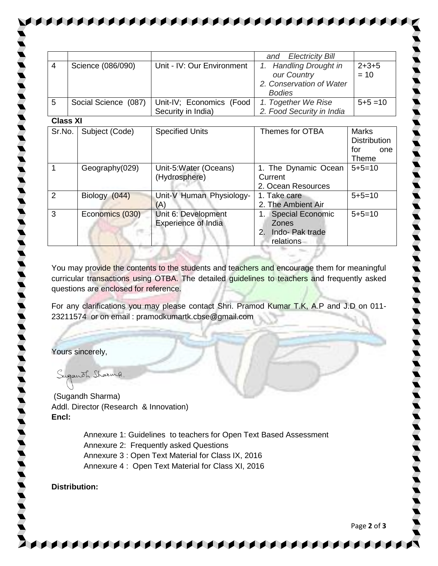|                 |                      |                            | <b>Electricity Bill</b><br>and     |                     |  |  |  |
|-----------------|----------------------|----------------------------|------------------------------------|---------------------|--|--|--|
| $\overline{4}$  | Science (086/090)    | Unit - IV: Our Environment | <b>Handling Drought in</b><br>1.   | $2 + 3 + 5$         |  |  |  |
|                 |                      |                            | our Country                        | $= 10$              |  |  |  |
|                 |                      |                            | 2. Conservation of Water           |                     |  |  |  |
|                 |                      |                            | <b>Bodies</b>                      |                     |  |  |  |
| 5               | Social Science (087) | Unit-IV; Economics (Food   | 1. Together We Rise                | $5+5=10$            |  |  |  |
|                 |                      | Security in India)         | 2. Food Security in India          |                     |  |  |  |
| <b>Class XI</b> |                      |                            |                                    |                     |  |  |  |
| Sr.No.          | Subject (Code)       | <b>Specified Units</b>     | Themes for OTBA                    | <b>Marks</b>        |  |  |  |
|                 |                      |                            |                                    | <b>Distribution</b> |  |  |  |
|                 |                      |                            |                                    | for<br>one          |  |  |  |
|                 |                      |                            |                                    | Theme               |  |  |  |
| 1               | Geography(029)       | Unit-5:Water (Oceans)      | 1. The Dynamic Ocean               | $5 + 5 = 10$        |  |  |  |
|                 |                      | (Hydrosphere)              | Current                            |                     |  |  |  |
|                 |                      |                            | 2. Ocean Resources                 |                     |  |  |  |
| 2               | Biology (044)        | Unit-V Human Physiology-   | 1. Take care                       | $5+5=10$            |  |  |  |
|                 |                      | (A)                        | 2. The Ambient Air                 |                     |  |  |  |
| 3               | Economics (030)      | Unit 6: Development        | <b>Special Economic</b><br>$1_{-}$ | $5 + 5 = 10$        |  |  |  |
|                 |                      | <b>Experience of India</b> | <b>Zones</b>                       |                     |  |  |  |
|                 |                      |                            | 2. Indo-Pak trade                  |                     |  |  |  |
|                 |                      |                            | relations                          |                     |  |  |  |

You may provide the contents to the students and teachers and encourage them for meaningful curricular transactions using OTBA. The detailed guidelines to teachers and frequently asked questions are enclosed for reference.

For any clarifications you may please contact Shri. Pramod Kumar T.K, A.P and J.D on 011- 23211574 or on email : pramodkumartk.cbse@gmail.com

Yours sincerely,

Suganoh Sharing

(Sugandh Sharma) Addl. Director (Research & Innovation) **Encl:** 

> Annexure 1: Guidelines to teachers for Open Text Based Assessment Annexure 2: Frequently asked Questions Annexure 3 : Open Text Material for Class IX, 2016 Annexure 4 : Open Text Material for Class XI, 2016

#### **Distribution:**

Page **2** of **3**